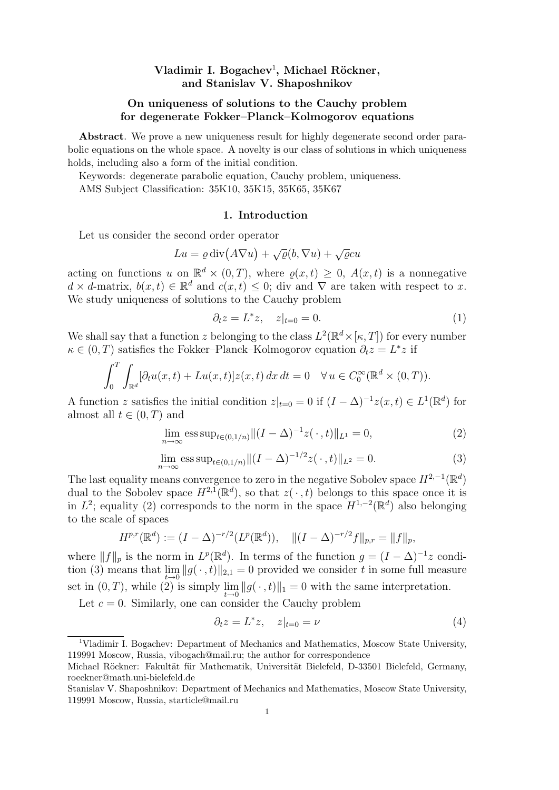# Vladimir I. Bogachev<sup>1</sup>, Michael Röckner, and Stanislav V. Shaposhnikov

## On uniqueness of solutions to the Cauchy problem for degenerate Fokker–Planck–Kolmogorov equations

Abstract. We prove a new uniqueness result for highly degenerate second order parabolic equations on the whole space. A novelty is our class of solutions in which uniqueness holds, including also a form of the initial condition.

Keywords: degenerate parabolic equation, Cauchy problem, uniqueness. AMS Subject Classification: 35K10, 35K15, 35K65, 35K67

#### 1. Introduction

Let us consider the second order operator

$$
Lu = \varrho \operatorname{div}(A\nabla u) + \sqrt{\varrho}(b, \nabla u) + \sqrt{\varrho}cu
$$

acting on functions u on  $\mathbb{R}^d \times (0,T)$ , where  $\rho(x,t) \geq 0$ ,  $A(x,t)$  is a nonnegative  $d \times d$ -matrix,  $b(x,t) \in \mathbb{R}^d$  and  $c(x,t) \leq 0$ ; div and  $\nabla$  are taken with respect to x. We study uniqueness of solutions to the Cauchy problem

$$
\partial_t z = L^* z, \quad z|_{t=0} = 0. \tag{1}
$$

We shall say that a function z belonging to the class  $L^2(\mathbb{R}^d\times[\kappa,T])$  for every number  $\kappa \in (0, T)$  satisfies the Fokker–Planck–Kolmogorov equation  $\partial_t z = L^* z$  if

$$
\int_0^T \int_{\mathbb{R}^d} [\partial_t u(x,t) + Lu(x,t)] z(x,t) dx dt = 0 \quad \forall u \in C_0^{\infty}(\mathbb{R}^d \times (0,T)).
$$

A function z satisfies the initial condition  $z|_{t=0} = 0$  if  $(I - \Delta)^{-1} z(x, t) \in L^1(\mathbb{R}^d)$  for almost all  $t \in (0, T)$  and

$$
\lim_{n \to \infty} \operatorname{ess} \operatorname{sup}_{t \in (0, 1/n)} \|(I - \Delta)^{-1} z(\,\cdot\,, t)\|_{L^1} = 0,\tag{2}
$$

$$
\lim_{n \to \infty} \operatorname{ess} \sup_{t \in (0, 1/n)} \|(I - \Delta)^{-1/2} z(\,\cdot\,, t)\|_{L^2} = 0. \tag{3}
$$

The last equality means convergence to zero in the negative Sobolev space  $H^{2,-1}(\mathbb{R}^d)$ dual to the Sobolev space  $H^{2,1}(\mathbb{R}^d)$ , so that  $z(\cdot,t)$  belongs to this space once it is in  $L^2$ ; equality (2) corresponds to the norm in the space  $H^{1,-2}(\mathbb{R}^d)$  also belonging to the scale of spaces

$$
H^{p,r}(\mathbb{R}^d) := (I - \Delta)^{-r/2}(L^p(\mathbb{R}^d)), \quad ||(I - \Delta)^{-r/2}f||_{p,r} = ||f||_p,
$$

where  $||f||_p$  is the norm in  $L^p(\mathbb{R}^d)$ . In terms of the function  $g = (I - \Delta)^{-1}z$  condition (3) means that  $\lim_{t\to 0} ||g(\cdot, t)||_{2,1} = 0$  provided we consider t in some full measure set in  $(0, T)$ , while (2) is simply  $\lim_{t \to 0} ||g(\cdot, t)||_1 = 0$  with the same interpretation.

Let  $c = 0$ . Similarly, one can consider the Cauchy problem

$$
\partial_t z = L^* z, \quad z|_{t=0} = \nu \tag{4}
$$

<sup>1</sup>Vladimir I. Bogachev: Department of Mechanics and Mathematics, Moscow State University, 119991 Moscow, Russia, vibogach@mail.ru; the author for correspondence

Michael Röckner: Fakultät für Mathematik, Universität Bielefeld, D-33501 Bielefeld, Germany, roeckner@math.uni-bielefeld.de

Stanislav V. Shaposhnikov: Department of Mechanics and Mathematics, Moscow State University, 119991 Moscow, Russia, starticle@mail.ru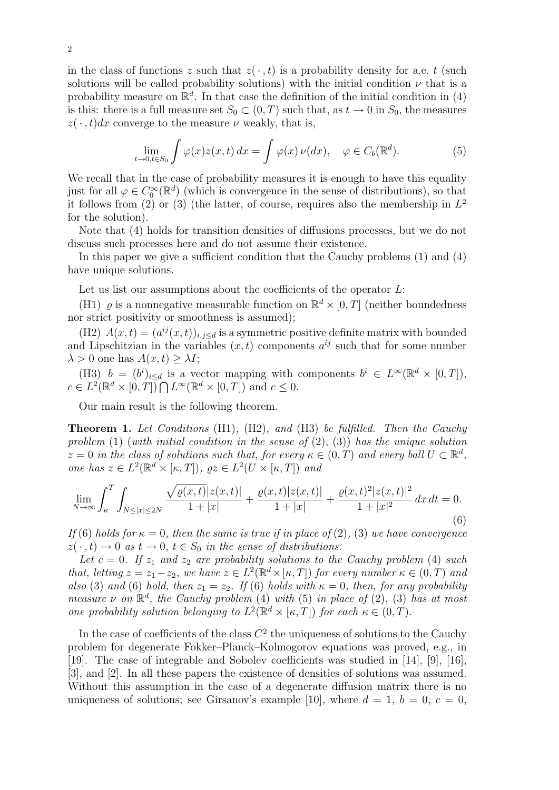in the class of functions z such that  $z(\cdot, t)$  is a probability density for a.e. t (such solutions will be called probability solutions) with the initial condition  $\nu$  that is a probability measure on  $\mathbb{R}^d$ . In that case the definition of the initial condition in (4) is this: there is a full measure set  $S_0 \subset (0,T)$  such that, as  $t \to 0$  in  $S_0$ , the measures  $z(\cdot, t)dx$  converge to the measure  $\nu$  weakly, that is,

$$
\lim_{t \to 0, t \in S_0} \int \varphi(x) z(x, t) dx = \int \varphi(x) \nu(dx), \quad \varphi \in C_b(\mathbb{R}^d). \tag{5}
$$

We recall that in the case of probability measures it is enough to have this equality just for all  $\varphi \in C_0^{\infty}(\mathbb{R}^d)$  (which is convergence in the sense of distributions), so that it follows from (2) or (3) (the latter, of course, requires also the membership in  $L^2$ for the solution).

Note that (4) holds for transition densities of diffusions processes, but we do not discuss such processes here and do not assume their existence.

In this paper we give a sufficient condition that the Cauchy problems (1) and (4) have unique solutions.

Let us list our assumptions about the coefficients of the operator  $L$ :

(H1)  $\varrho$  is a nonnegative measurable function on  $\mathbb{R}^d \times [0,T]$  (neither boundedness nor strict positivity or smoothness is assumed);

(H2)  $A(x,t) = (a^{ij}(x,t))_{i,j \leq d}$  is a symmetric positive definite matrix with bounded and Lipschitzian in the variables  $(x, t)$  components  $a^{ij}$  such that for some number  $\lambda > 0$  one has  $A(x, t) > \lambda I$ ;

(H3)  $b = (b^i)_{i \leq d}$  is a vector mapping with components  $b^i \in L^{\infty}(\mathbb{R}^d \times [0, T]),$  $c \in L^2(\mathbb{R}^d \times [0,T]) \bigcap L^{\infty}(\mathbb{R}^d \times [0,T])$  and  $c \leq 0$ .

Our main result is the following theorem.

**Theorem 1.** Let Conditions  $(H1)$ ,  $(H2)$ , and  $(H3)$  be fulfilled. Then the Cauchy problem (1) (with initial condition in the sense of (2), (3)) has the unique solution  $z = 0$  in the class of solutions such that, for every  $\kappa \in (0, T)$  and every ball  $U \subset \mathbb{R}^d$ , one has  $z \in L^2(\mathbb{R}^d \times [\kappa, T])$ ,  $\varrho z \in L^2(U \times [\kappa, T])$  and

$$
\lim_{N \to \infty} \int_{\kappa}^{T} \int_{N \leq |x| \leq 2N} \frac{\sqrt{\varrho(x,t)} |z(x,t)|}{1+|x|} + \frac{\varrho(x,t) |z(x,t)|}{1+|x|} + \frac{\varrho(x,t)^{2} |z(x,t)|^{2}}{1+|x|^{2}} dx dt = 0.
$$
\n(6)

If (6) holds for  $\kappa = 0$ , then the same is true if in place of (2), (3) we have convergence  $z(\cdot, t) \to 0$  as  $t \to 0$ ,  $t \in S_0$  in the sense of distributions.

Let  $c = 0$ . If  $z_1$  and  $z_2$  are probability solutions to the Cauchy problem (4) such that, letting  $z = z_1 - z_2$ , we have  $z \in L^2(\mathbb{R}^d \times [\kappa, T])$  for every number  $\kappa \in (0, T)$  and also (3) and (6) hold, then  $z_1 = z_2$ . If (6) holds with  $\kappa = 0$ , then, for any probability measure  $\nu$  on  $\mathbb{R}^d$ , the Cauchy problem (4) with (5) in place of (2), (3) has at most one probability solution belonging to  $L^2(\mathbb{R}^d\times[\kappa,T])$  for each  $\kappa\in(0,T)$ .

In the case of coefficients of the class  $C^2$  the uniqueness of solutions to the Cauchy problem for degenerate Fokker–Planck–Kolmogorov equations was proved, e.g., in [19]. The case of integrable and Sobolev coefficients was studied in [14], [9], [16], [3], and [2]. In all these papers the existence of densities of solutions was assumed. Without this assumption in the case of a degenerate diffusion matrix there is no uniqueness of solutions; see Girsanov's example [10], where  $d = 1$ ,  $b = 0$ ,  $c = 0$ ,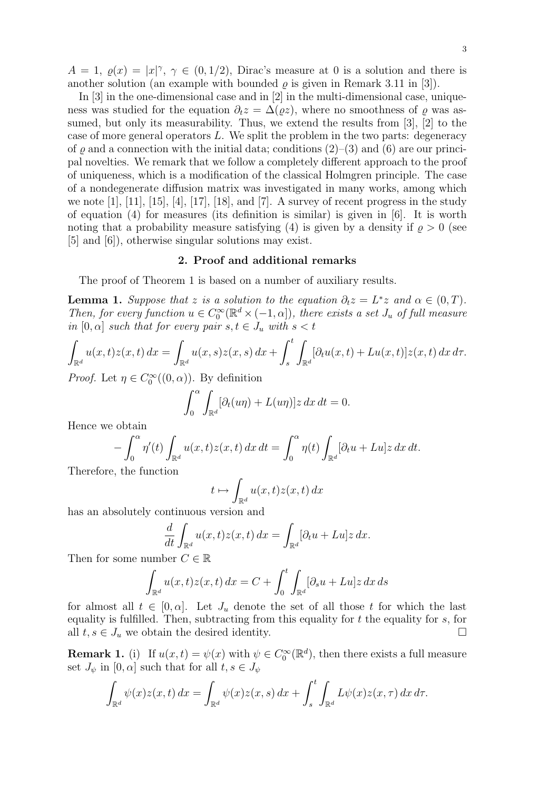$A = 1, \varrho(x) = |x|^{\gamma}, \gamma \in (0, 1/2),$  Dirac's measure at 0 is a solution and there is another solution (an example with bounded  $\rho$  is given in Remark 3.11 in [3]).

In [3] in the one-dimensional case and in [2] in the multi-dimensional case, uniqueness was studied for the equation  $\partial_t z = \Delta(\rho z)$ , where no smoothness of  $\rho$  was assumed, but only its measurability. Thus, we extend the results from [3], [2] to the case of more general operators  $L$ . We split the problem in the two parts: degeneracy of  $\rho$  and a connection with the initial data; conditions  $(2)$ – $(3)$  and  $(6)$  are our principal novelties. We remark that we follow a completely different approach to the proof of uniqueness, which is a modification of the classical Holmgren principle. The case of a nondegenerate diffusion matrix was investigated in many works, among which we note  $[1]$ ,  $[11]$ ,  $[15]$ ,  $[4]$ ,  $[17]$ ,  $[18]$ , and  $[7]$ . A survey of recent progress in the study of equation (4) for measures (its definition is similar) is given in [6]. It is worth noting that a probability measure satisfying (4) is given by a density if  $\rho > 0$  (see [5] and [6]), otherwise singular solutions may exist.

## 2. Proof and additional remarks

The proof of Theorem 1 is based on a number of auxiliary results.

**Lemma 1.** Suppose that z is a solution to the equation  $\partial_t z = L^* z$  and  $\alpha \in (0, T)$ . Then, for every function  $u \in C_0^{\infty}(\mathbb{R}^d \times (-1, \alpha])$ , there exists a set  $J_u$  of full measure in  $[0, \alpha]$  such that for every pair  $s, t \in J_u$  with  $s < t$ 

$$
\int_{\mathbb{R}^d} u(x,t)z(x,t) dx = \int_{\mathbb{R}^d} u(x,s)z(x,s) dx + \int_s^t \int_{\mathbb{R}^d} [\partial_t u(x,t) + Lu(x,t)]z(x,t) dx d\tau.
$$

*Proof.* Let  $\eta \in C_0^{\infty}((0, \alpha))$ . By definition

$$
\int_0^{\alpha} \int_{\mathbb{R}^d} [\partial_t (u\eta) + L(u\eta)] z \, dx \, dt = 0.
$$

Hence we obtain

$$
-\int_0^\alpha \eta'(t) \int_{\mathbb{R}^d} u(x,t) z(x,t) \, dx \, dt = \int_0^\alpha \eta(t) \int_{\mathbb{R}^d} [\partial_t u + Lu] z \, dx \, dt.
$$

Therefore, the function

$$
t \mapsto \int_{\mathbb{R}^d} u(x,t)z(x,t) \, dx
$$

has an absolutely continuous version and

$$
\frac{d}{dt} \int_{\mathbb{R}^d} u(x,t) z(x,t) \, dx = \int_{\mathbb{R}^d} [\partial_t u + Lu] z \, dx.
$$

Then for some number  $C \in \mathbb{R}$ 

$$
\int_{\mathbb{R}^d} u(x,t)z(x,t) dx = C + \int_0^t \int_{\mathbb{R}^d} [\partial_s u + Lu]z dx ds
$$

for almost all  $t \in [0, \alpha]$ . Let  $J_u$  denote the set of all those t for which the last equality is fulfilled. Then, subtracting from this equality for  $t$  the equality for  $s$ , for all  $t, s \in J_u$  we obtain the desired identity.

**Remark 1.** (i) If  $u(x,t) = \psi(x)$  with  $\psi \in C_0^{\infty}(\mathbb{R}^d)$ , then there exists a full measure set  $J_{\psi}$  in  $[0, \alpha]$  such that for all  $t, s \in J_{\psi}$ 

$$
\int_{\mathbb{R}^d} \psi(x) z(x,t) dx = \int_{\mathbb{R}^d} \psi(x) z(x,s) dx + \int_s^t \int_{\mathbb{R}^d} L\psi(x) z(x,\tau) dx d\tau.
$$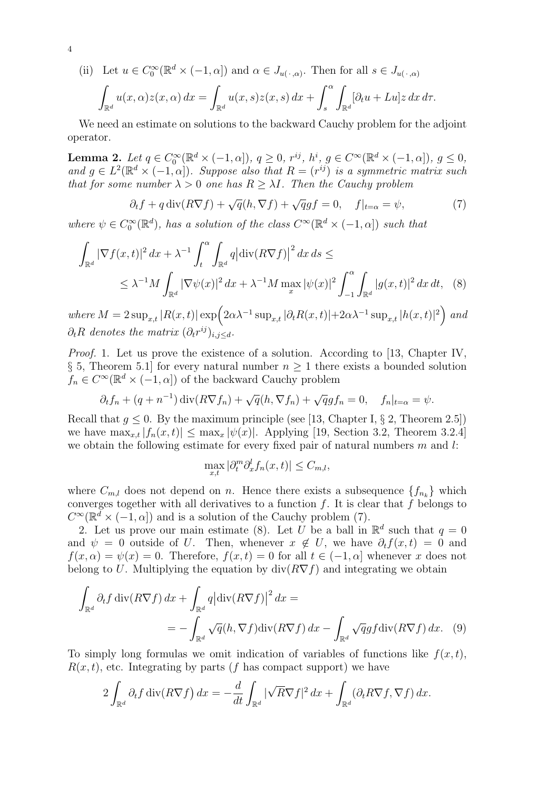(ii) Let 
$$
u \in C_0^{\infty}(\mathbb{R}^d \times (-1, \alpha])
$$
 and  $\alpha \in J_{u(\cdot, \alpha)}$ . Then for all  $s \in J_{u(\cdot, \alpha)}$   

$$
\int_{\mathbb{R}^d} u(x, \alpha) z(x, \alpha) dx = \int_{\mathbb{R}^d} u(x, s) z(x, s) dx + \int_s^{\alpha} \int_{\mathbb{R}^d} [\partial_t u + Lu] z dx d\tau.
$$

We need an estimate on solutions to the backward Cauchy problem for the adjoint operator.

**Lemma 2.** Let  $q \in C_0^{\infty}(\mathbb{R}^d \times (-1, \alpha]), q \ge 0, r^{ij}, h^i, g \in C^{\infty}(\mathbb{R}^d \times (-1, \alpha]), g \le 0,$ and  $g \in L^2(\mathbb{R}^d \times (-1, \alpha])$ . Suppose also that  $R = (r^{ij})$  is a symmetric matrix such that for some number  $\lambda > 0$  one has  $R \geq \lambda I$ . Then the Cauchy problem

$$
\partial_t f + q \operatorname{div}(R \nabla f) + \sqrt{q}(h, \nabla f) + \sqrt{q}gf = 0, \quad f|_{t=\alpha} = \psi,
$$
\n(7)

where  $\psi \in C_0^{\infty}(\mathbb{R}^d)$ , has a solution of the class  $C^{\infty}(\mathbb{R}^d \times (-1,\alpha])$  such that

$$
\int_{\mathbb{R}^d} |\nabla f(x,t)|^2 dx + \lambda^{-1} \int_t^\alpha \int_{\mathbb{R}^d} q \left| \operatorname{div}(R\nabla f) \right|^2 dx ds \le
$$
\n
$$
\leq \lambda^{-1} M \int_{\mathbb{R}^d} |\nabla \psi(x)|^2 dx + \lambda^{-1} M \max_x |\psi(x)|^2 \int_{-1}^\alpha \int_{\mathbb{R}^d} |g(x,t)|^2 dx dt, \quad (8)
$$

where  $M = 2 \sup_{x,t} |R(x,t)| \exp \Bigl( 2\alpha \lambda^{-1} \sup_{x,t} |\partial_t R(x,t)| + 2\alpha \lambda^{-1} \sup_{x,t} |h(x,t)|^2 \Bigr)$  and  $\partial_t R$  denotes the matrix  $(\partial_t r^{ij})_{i,j \leq d}$ .

Proof. 1. Let us prove the existence of a solution. According to [13, Chapter IV, § 5, Theorem 5.1 for every natural number  $n \geq 1$  there exists a bounded solution  $f_n \in C^{\infty}(\mathbb{R}^d \times (-1, \alpha])$  of the backward Cauchy problem

$$
\partial_t f_n + (q + n^{-1}) \operatorname{div}(R \nabla f_n) + \sqrt{q} (h, \nabla f_n) + \sqrt{q} g f_n = 0, \quad f_n|_{t=\alpha} = \psi.
$$

Recall that  $g \leq 0$ . By the maximum principle (see [13, Chapter I, § 2, Theorem 2.5]) we have  $\max_{x,t} |f_n(x,t)| \leq \max_x |\psi(x)|$ . Applying [19, Section 3.2, Theorem 3.2.4] we obtain the following estimate for every fixed pair of natural numbers  $m$  and  $l$ :

$$
\max_{x,t} |\partial_t^m \partial_x^l f_n(x,t)| \le C_{m,l},
$$

where  $C_{m,l}$  does not depend on n. Hence there exists a subsequence  $\{f_{n_k}\}\$  which converges together with all derivatives to a function  $f$ . It is clear that  $f$  belongs to  $C^{\infty}(\mathbb{R}^d \times (-1,\alpha])$  and is a solution of the Cauchy problem (7).

2. Let us prove our main estimate (8). Let U be a ball in  $\mathbb{R}^d$  such that  $q = 0$ and  $\psi = 0$  outside of U. Then, whenever  $x \notin U$ , we have  $\partial_t f(x, t) = 0$  and  $f(x, \alpha) = \psi(x) = 0$ . Therefore,  $f(x, t) = 0$  for all  $t \in (-1, \alpha]$  whenever x does not belong to U. Multiplying the equation by  $div(R\nabla f)$  and integrating we obtain

$$
\int_{\mathbb{R}^d} \partial_t f \operatorname{div}(R \nabla f) dx + \int_{\mathbb{R}^d} q \left| \operatorname{div}(R \nabla f) \right|^2 dx =
$$
\n
$$
= - \int_{\mathbb{R}^d} \sqrt{q} (h, \nabla f) \operatorname{div}(R \nabla f) dx - \int_{\mathbb{R}^d} \sqrt{q} g f \operatorname{div}(R \nabla f) dx. \tag{9}
$$

To simply long formulas we omit indication of variables of functions like  $f(x, t)$ ,  $R(x, t)$ , etc. Integrating by parts (f has compact support) we have

$$
2\int_{\mathbb{R}^d} \partial_t f \operatorname{div}(R\nabla f) dx = -\frac{d}{dt} \int_{\mathbb{R}^d} |\sqrt{R}\nabla f|^2 dx + \int_{\mathbb{R}^d} (\partial_t R\nabla f, \nabla f) dx.
$$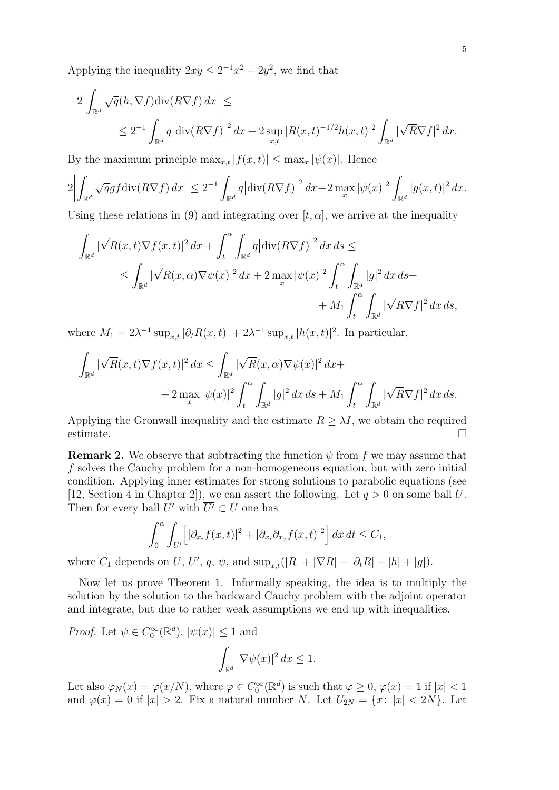Applying the inequality  $2xy \leq 2^{-1}x^2 + 2y^2$ , we find that

$$
2\left|\int_{\mathbb{R}^d} \sqrt{q}(h, \nabla f) \operatorname{div}(R\nabla f) dx\right| \leq
$$
  
 
$$
\leq 2^{-1} \int_{\mathbb{R}^d} q \left|\operatorname{div}(R\nabla f)\right|^2 dx + 2 \sup_{x,t} |R(x,t)^{-1/2}h(x,t)|^2 \int_{\mathbb{R}^d} |\sqrt{R}\nabla f|^2 dx.
$$

By the maximum principle  $\max_{x,t} |f(x,t)| \leq \max_x |\psi(x)|$ . Hence

$$
2\left|\int_{\mathbb{R}^d} \sqrt{q} g f \operatorname{div}(R\nabla f) dx\right| \leq 2^{-1} \int_{\mathbb{R}^d} q \left|\operatorname{div}(R\nabla f)\right|^2 dx + 2 \max_x |\psi(x)|^2 \int_{\mathbb{R}^d} |g(x,t)|^2 dx.
$$

Using these relations in (9) and integrating over  $[t, \alpha]$ , we arrive at the inequality

$$
\int_{\mathbb{R}^d} |\sqrt{R}(x,t)\nabla f(x,t)|^2 dx + \int_t^{\alpha} \int_{\mathbb{R}^d} q |\text{div}(R\nabla f)|^2 dx ds \le
$$
  

$$
\leq \int_{\mathbb{R}^d} |\sqrt{R}(x,\alpha)\nabla \psi(x)|^2 dx + 2 \max_x |\psi(x)|^2 \int_t^{\alpha} \int_{\mathbb{R}^d} |g|^2 dx ds +
$$
  

$$
+ M_1 \int_t^{\alpha} \int_{\mathbb{R}^d} |\sqrt{R}\nabla f|^2 dx ds,
$$

where  $M_1 = 2\lambda^{-1} \sup_{x,t} |\partial_t R(x,t)| + 2\lambda^{-1} \sup_{x,t} |h(x,t)|^2$ . In particular,

$$
\int_{\mathbb{R}^d} |\sqrt{R}(x,t)\nabla f(x,t)|^2 dx \le \int_{\mathbb{R}^d} |\sqrt{R}(x,\alpha)\nabla \psi(x)|^2 dx +
$$
  
+  $2 \max_x |\psi(x)|^2 \int_t^{\alpha} \int_{\mathbb{R}^d} |g|^2 dx ds + M_1 \int_t^{\alpha} \int_{\mathbb{R}^d} |\sqrt{R}\nabla f|^2 dx ds.$ 

Applying the Gronwall inequality and the estimate  $R \geq \lambda I$ , we obtain the required estimate.

**Remark 2.** We observe that subtracting the function  $\psi$  from f we may assume that f solves the Cauchy problem for a non-homogeneous equation, but with zero initial condition. Applying inner estimates for strong solutions to parabolic equations (see [12, Section 4 in Chapter 2]), we can assert the following. Let  $q > 0$  on some ball U. Then for every ball U' with  $\overline{U'} \subset U$  one has

$$
\int_0^{\alpha} \int_{U'} \left[ |\partial_{x_i} f(x, t)|^2 + |\partial_{x_i} \partial_{x_j} f(x, t)|^2 \right] dx dt \le C_1,
$$

where  $C_1$  depends on U, U', q,  $\psi$ , and  $\sup_{x,t}(|R|+|\nabla R|+|\partial_t R|+|h|+|g|)$ .

Now let us prove Theorem 1. Informally speaking, the idea is to multiply the solution by the solution to the backward Cauchy problem with the adjoint operator and integrate, but due to rather weak assumptions we end up with inequalities.

*Proof.* Let  $\psi \in C_0^{\infty}(\mathbb{R}^d)$ ,  $|\psi(x)| \leq 1$  and

$$
\int_{\mathbb{R}^d} |\nabla \psi(x)|^2 \, dx \le 1.
$$

Let also  $\varphi_N(x) = \varphi(x/N)$ , where  $\varphi \in C_0^{\infty}(\mathbb{R}^d)$  is such that  $\varphi \geq 0$ ,  $\varphi(x) = 1$  if  $|x| < 1$ and  $\varphi(x) = 0$  if  $|x| > 2$ . Fix a natural number N. Let  $U_{2N} = \{x : |x| < 2N\}$ . Let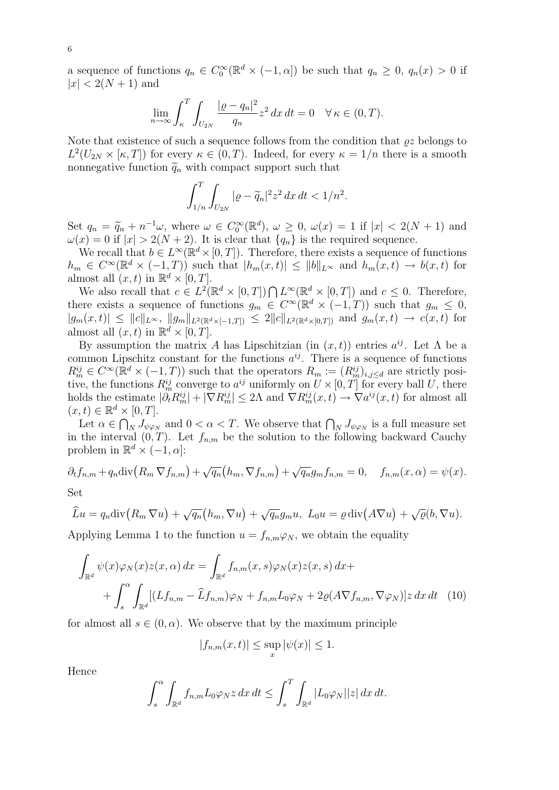a sequence of functions  $q_n \in C_0^{\infty}(\mathbb{R}^d \times (-1, \alpha])$  be such that  $q_n \geq 0$ ,  $q_n(x) > 0$  if  $|x| < 2(N+1)$  and

$$
\lim_{n \to \infty} \int_{\kappa}^{T} \int_{U_{2N}} \frac{|\varrho - q_n|^2}{q_n} z^2 dx dt = 0 \quad \forall \kappa \in (0, T).
$$

Note that existence of such a sequence follows from the condition that  $\rho z$  belongs to  $L^2(U_{2N} \times [\kappa, T])$  for every  $\kappa \in (0, T)$ . Indeed, for every  $\kappa = 1/n$  there is a smooth nonnegative function  $\tilde{q}_n$  with compact support such that

$$
\int_{1/n}^{T} \int_{U_{2N}} |\varrho - \widetilde{q}_n|^2 z^2 \, dx \, dt < 1/n^2.
$$

Set  $q_n = \tilde{q}_n + n^{-1}\omega$ , where  $\omega \in C_0^{\infty}(\mathbb{R}^d)$ ,  $\omega \geq 0$ ,  $\omega(x) = 1$  if  $|x| < 2(N+1)$  and  $\omega(x) = 0$  if  $|x| > 2(N+2)$ . It is clear that La L is the required sequence  $\omega(x) = 0$  if  $|x| > 2(N + 2)$ . It is clear that  $\{q_n\}$  is the required sequence.

We recall that  $b \in L^{\infty}(\mathbb{R}^d \times [0,T])$ . Therefore, there exists a sequence of functions  $h_m \in C^{\infty}(\mathbb{R}^d \times (-1,T))$  such that  $|h_m(x,t)| \le ||b||_{L^{\infty}}$  and  $h_m(x,t) \to b(x,t)$  for almost all  $(x, t)$  in  $\mathbb{R}^d \times [0, T]$ .

We also recall that  $c \in L^2(\mathbb{R}^d \times [0,T]) \bigcap L^{\infty}(\mathbb{R}^d \times [0,T])$  and  $c \leq 0$ . Therefore, there exists a sequence of functions  $g_m \in C^{\infty}(\mathbb{R}^d \times (-1,T))$  such that  $g_m \leq 0$ ,  $|g_m(x,t)| \leq ||c||_{L^{\infty}}, ||g_m||_{L^2(\mathbb{R}^d \times [-1,T])} \leq 2||c||_{L^2(\mathbb{R}^d \times [0,T])}$  and  $g_m(x,t) \to c(x,t)$  for almost all  $(x, t)$  in  $\mathbb{R}^d \times [0, T]$ .

By assumption the matrix A has Lipschitzian (in  $(x, t)$ ) entries  $a^{ij}$ . Let  $\Lambda$  be a common Lipschitz constant for the functions  $a^{ij}$ . There is a sequence of functions  $R_m^{ij} \in C^\infty(\mathbb{R}^d \times (-1,T))$  such that the operators  $R_m := (R_m^{ij})_{i,j \leq d}$  are strictly positive, the functions  $R_m^{ij}$  converge to  $a^{ij}$  uniformly on  $U \times [0, T]$  for every ball U, there holds the estimate  $|\partial_t R_m^{ij}| + |\nabla R_m^{ij}| \leq 2\Lambda$  and  $\nabla R_m^{ij}(x,t) \to \nabla a^{ij}(x,t)$  for almost all  $(x, t) \in \mathbb{R}^d \times [0, T].$ 

Let  $\alpha \in \bigcap_N J_{\psi \varphi_N}$  and  $0 < \alpha < T$ . We observe that  $\bigcap_N J_{\psi \varphi_N}$  is a full measure set in the interval  $(0, T)$ . Let  $f_{n,m}$  be the solution to the following backward Cauchy problem in  $\mathbb{R}^d \times (-1, \alpha]$ :

$$
\partial_t f_{n,m} + q_n \text{div}\big(R_m \nabla f_{n,m}\big) + \sqrt{q_n} \big(h_m, \nabla f_{n,m}\big) + \sqrt{q_n} g_m f_{n,m} = 0, \quad f_{n,m}(x, \alpha) = \psi(x).
$$
  
Set

$$
\widehat{L}u = q_n \operatorname{div}\big(R_m \nabla u\big) + \sqrt{q_n}\big(h_m, \nabla u\big) + \sqrt{q_n}g_m u, \ L_0 u = \varrho \operatorname{div}\big(A\nabla u\big) + \sqrt{\varrho}(b, \nabla u).
$$

Applying Lemma 1 to the function  $u = f_{n,m}\varphi_N$ , we obtain the equality

$$
\int_{\mathbb{R}^d} \psi(x)\varphi_N(x)z(x,\alpha) dx = \int_{\mathbb{R}^d} f_{n,m}(x,s)\varphi_N(x)z(x,s) dx +
$$

$$
+ \int_s^\alpha \int_{\mathbb{R}^d} [(Lf_{n,m} - \widehat{L}f_{n,m})\varphi_N + f_{n,m}L_0\varphi_N + 2\varrho(A\nabla f_{n,m}, \nabla\varphi_N)]z dx dt \quad (10)
$$

for almost all  $s \in (0, \alpha)$ . We observe that by the maximum principle

$$
|f_{n,m}(x,t)| \le \sup_x |\psi(x)| \le 1.
$$

Hence

$$
\int_s^{\alpha} \int_{\mathbb{R}^d} f_{n,m} L_0 \varphi_N z \, dx \, dt \le \int_s^T \int_{\mathbb{R}^d} |L_0 \varphi_N| |z| \, dx \, dt.
$$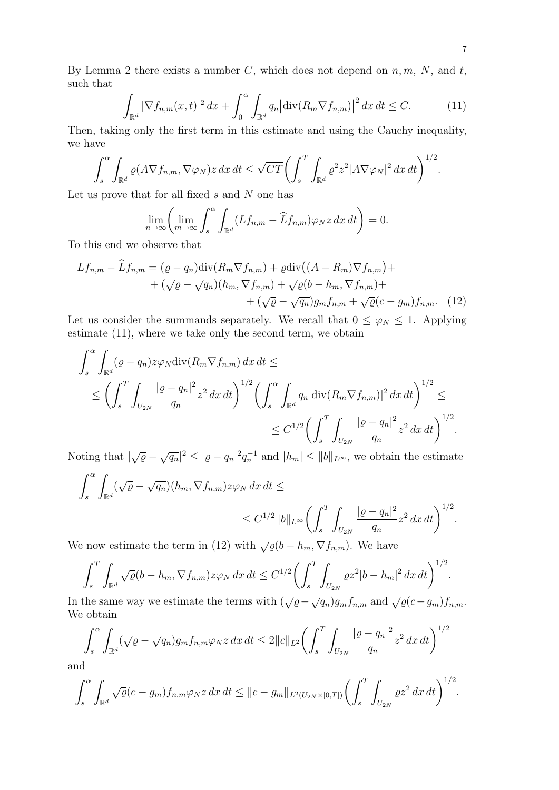By Lemma 2 there exists a number C, which does not depend on  $n, m, N$ , and t, such that

$$
\int_{\mathbb{R}^d} |\nabla f_{n,m}(x,t)|^2 dx + \int_0^\alpha \int_{\mathbb{R}^d} q_n |\text{div}(R_m \nabla f_{n,m})|^2 dx dt \le C. \tag{11}
$$

Then, taking only the first term in this estimate and using the Cauchy inequality, we have

$$
\int_{s}^{\alpha} \int_{\mathbb{R}^{d}} \varrho(A \nabla f_{n,m}, \nabla \varphi_{N}) z \, dx \, dt \leq \sqrt{CT} \bigg( \int_{s}^{T} \int_{\mathbb{R}^{d}} \varrho^{2} z^{2} |A \nabla \varphi_{N}|^{2} \, dx \, dt \bigg)^{1/2}.
$$

Let us prove that for all fixed  $s$  and  $N$  one has

$$
\lim_{n \to \infty} \left( \lim_{m \to \infty} \int_s^{\alpha} \int_{\mathbb{R}^d} (Lf_{n,m} - \widehat{L}f_{n,m}) \varphi_N z \, dx \, dt \right) = 0.
$$

To this end we observe that

$$
Lf_{n,m} - \widehat{L}f_{n,m} = (\varrho - q_n) \operatorname{div}(R_m \nabla f_{n,m}) + \varrho \operatorname{div}((A - R_m) \nabla f_{n,m}) + + (\sqrt{\varrho} - \sqrt{q_n})(h_m, \nabla f_{n,m}) + \sqrt{\varrho}(b - h_m, \nabla f_{n,m}) + + (\sqrt{\varrho} - \sqrt{q_n})g_m f_{n,m} + \sqrt{\varrho}(c - g_m)f_{n,m}. \quad (12)
$$

Let us consider the summands separately. We recall that  $0 \leq \varphi_N \leq 1$ . Applying estimate (11), where we take only the second term, we obtain

$$
\int_{s}^{\alpha} \int_{\mathbb{R}^{d}} (\varrho - q_{n}) z \varphi_{N} \operatorname{div} (R_{m} \nabla f_{n,m}) \, dx \, dt \le
$$
\n
$$
\le \left( \int_{s}^{T} \int_{U_{2N}} \frac{|\varrho - q_{n}|^{2}}{q_{n}} z^{2} \, dx \, dt \right)^{1/2} \left( \int_{s}^{\alpha} \int_{\mathbb{R}^{d}} q_{n} |\operatorname{div} (R_{m} \nabla f_{n,m})|^{2} \, dx \, dt \right)^{1/2} \le
$$
\n
$$
\le C^{1/2} \left( \int_{s}^{T} \int_{U_{2N}} \frac{|\varrho - q_{n}|^{2}}{q_{n}} z^{2} \, dx \, dt \right)^{1/2}.
$$

Noting that  $|\sqrt{\varrho} - \sqrt{q_n}|^2 \leq |\varrho - q_n|^2 q_n^{-1}$  and  $|h_m| \leq ||b||_{L^{\infty}}$ , we obtain the estimate

$$
\int_s^\alpha \int_{\mathbb{R}^d} (\sqrt{\varrho} - \sqrt{q_n})(h_m, \nabla f_{n,m}) z \varphi_N \, dx \, dt \le
$$
  

$$
\leq C^{1/2} \|b\|_{L^\infty} \left( \int_s^T \int_{U_{2N}} \frac{|\varrho - q_n|^2}{q_n} z^2 \, dx \, dt \right)^{1/2}.
$$

We now estimate the term in (12) with  $\sqrt{\varrho}(b - h_m, \nabla f_{n,m})$ . We have

$$
\int_s^T \int_{\mathbb{R}^d} \sqrt{\varrho} (b - h_m, \nabla f_{n,m}) z \varphi_N \, dx \, dt \le C^{1/2} \bigg( \int_s^T \int_{U_{2N}} \varrho z^2 |b - h_m|^2 \, dx \, dt \bigg)^{1/2}.
$$

In the same way we estimate the terms with  $(\sqrt{\varrho} - \sqrt{q_n})g_m f_{n,m}$  and  $\sqrt{\varrho}(c - g_m)f_{n,m}$ . We obtain

$$
\int_s^\alpha \int_{\mathbb{R}^d} (\sqrt{\varrho} - \sqrt{q_n}) g_m f_{n,m} \varphi_N z \, dx \, dt \le 2 \|c\|_{L^2} \bigg( \int_s^T \int_{U_{2N}} \frac{|\varrho - q_n|^2}{q_n} z^2 \, dx \, dt \bigg)^{1/2}
$$

and

$$
\int_s^\alpha \int_{\mathbb{R}^d} \sqrt{\varrho}(c-g_m) f_{n,m} \varphi_N z \, dx \, dt \leq ||c-g_m||_{L^2(U_{2N}\times[0,T])} \bigg( \int_s^T \int_{U_{2N}} \varrho z^2 \, dx \, dt \bigg)^{1/2}.
$$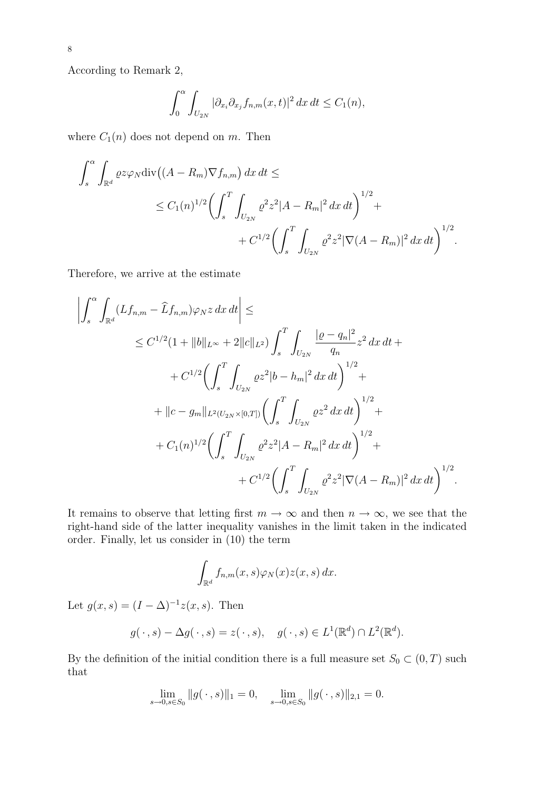According to Remark 2,

$$
\int_0^{\alpha} \int_{U_{2N}} |\partial_{x_i}\partial_{x_j} f_{n,m}(x,t)|^2 dx dt \le C_1(n),
$$

where  $C_1(n)$  does not depend on m. Then

$$
\int_{s}^{\alpha} \int_{\mathbb{R}^{d}} \varrho z \varphi_{N} \text{div} \left( (A - R_{m}) \nabla f_{n,m} \right) dx dt \le
$$
  
 
$$
\leq C_{1}(n)^{1/2} \left( \int_{s}^{T} \int_{U_{2N}} \varrho^{2} z^{2} |A - R_{m}|^{2} dx dt \right)^{1/2} + C^{1/2} \left( \int_{s}^{T} \int_{U_{2N}} \varrho^{2} z^{2} |\nabla (A - R_{m})|^{2} dx dt \right)^{1/2}.
$$

Therefore, we arrive at the estimate

$$
\left| \int_{s}^{\alpha} \int_{\mathbb{R}^{d}} (Lf_{n,m} - \hat{L}f_{n,m}) \varphi_{N} z \, dx \, dt \right| \le
$$
  
\n
$$
\leq C^{1/2} (1 + \|b\|_{L^{\infty}} + 2\|c\|_{L^{2}}) \int_{s}^{T} \int_{U_{2N}} \frac{| \varrho - q_{n} |^{2}}{q_{n}} z^{2} \, dx \, dt + C^{1/2} \Biggl( \int_{s}^{T} \int_{U_{2N}} \varrho z^{2} |b - h_{m}|^{2} \, dx \, dt \Biggr)^{1/2} +
$$
  
\n
$$
+ \|c - g_{m} \|_{L^{2}(U_{2N} \times [0,T])} \Biggl( \int_{s}^{T} \int_{U_{2N}} \varrho z^{2} \, dx \, dt \Biggr)^{1/2} +
$$
  
\n
$$
+ C_{1}(n)^{1/2} \Biggl( \int_{s}^{T} \int_{U_{2N}} \varrho^{2} z^{2} |A - R_{m}|^{2} \, dx \, dt \Biggr)^{1/2} +
$$
  
\n
$$
+ C^{1/2} \Biggl( \int_{s}^{T} \int_{U_{2N}} \varrho^{2} z^{2} |\nabla (A - R_{m})|^{2} \, dx \, dt \Biggr)^{1/2}.
$$

It remains to observe that letting first  $m \to \infty$  and then  $n \to \infty$ , we see that the right-hand side of the latter inequality vanishes in the limit taken in the indicated order. Finally, let us consider in (10) the term

$$
\int_{\mathbb{R}^d} f_{n,m}(x,s)\varphi_N(x)z(x,s)\,dx.
$$

Let  $g(x, s) = (I - \Delta)^{-1} z(x, s)$ . Then

$$
g(\cdot, s) - \Delta g(\cdot, s) = z(\cdot, s), \quad g(\cdot, s) \in L^1(\mathbb{R}^d) \cap L^2(\mathbb{R}^d).
$$

By the definition of the initial condition there is a full measure set  $S_0 \subset (0, T)$  such that

$$
\lim_{s \to 0, s \in S_0} \|g(\,\cdot\,,s)\|_1 = 0, \quad \lim_{s \to 0, s \in S_0} \|g(\,\cdot\,,s)\|_{2,1} = 0.
$$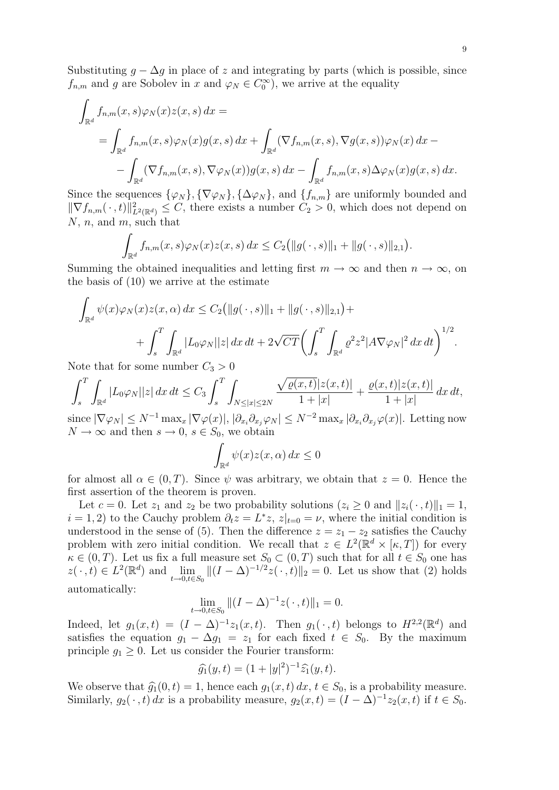Substituting  $g - \Delta g$  in place of z and integrating by parts (which is possible, since  $f_{n,m}$  and g are Sobolev in x and  $\varphi_N \in C_0^{\infty}$ , we arrive at the equality

$$
\int_{\mathbb{R}^d} f_{n,m}(x,s)\varphi_N(x)z(x,s) dx =
$$
\n
$$
= \int_{\mathbb{R}^d} f_{n,m}(x,s)\varphi_N(x)g(x,s) dx + \int_{\mathbb{R}^d} (\nabla f_{n,m}(x,s), \nabla g(x,s))\varphi_N(x) dx -
$$
\n
$$
- \int_{\mathbb{R}^d} (\nabla f_{n,m}(x,s), \nabla \varphi_N(x))g(x,s) dx - \int_{\mathbb{R}^d} f_{n,m}(x,s)\Delta \varphi_N(x)g(x,s) dx.
$$

Since the sequences  $\{\varphi_N\}, \{\nabla \varphi_N\}, \{\Delta \varphi_N\}, \text{ and } \{f_{n,m}\}\$ are uniformly bounded and  $\|\nabla f_{n,m}(\cdot, t)\|^2_{L^2(\mathbb{R}^d)} \leq C$ , there exists a number  $C_2 > 0$ , which does not depend on  $N, n$ , and  $m$ , such that

$$
\int_{\mathbb{R}^d} f_{n,m}(x,s)\varphi_N(x)z(x,s)\,dx \leq C_2(||g(\,\cdot\,,s)||_1 + ||g(\,\cdot\,,s)||_{2,1}).
$$

Summing the obtained inequalities and letting first  $m \to \infty$  and then  $n \to \infty$ , on the basis of (10) we arrive at the estimate

$$
\int_{\mathbb{R}^d} \psi(x)\varphi_N(x)z(x,\alpha) dx \le C_2(||g(\cdot,s)||_1 + ||g(\cdot,s)||_{2,1}) + \n+ \int_s^T \int_{\mathbb{R}^d} |L_0\varphi_N||z| dx dt + 2\sqrt{CT} \bigg(\int_s^T \int_{\mathbb{R}^d} \varrho^2 z^2 |A\nabla\varphi_N|^2 dx dt\bigg)^{1/2}.
$$

Note that for some number  $C_3 > 0$ 

$$
\int_{s}^{T} \int_{\mathbb{R}^{d}} |L_{0} \varphi_{N}| |z| dx dt \leq C_{3} \int_{s}^{T} \int_{N \leq |x| \leq 2N} \frac{\sqrt{\varrho(x,t)} |z(x,t)|}{1+|x|} + \frac{\varrho(x,t) |z(x,t)|}{1+|x|} dx dt,
$$

since  $|\nabla \varphi_N| \leq N^{-1} \max_x |\nabla \varphi(x)|$ ,  $|\partial_{x_i}\partial_{x_j}\varphi_N| \leq N^{-2} \max_x |\partial_{x_i}\partial_{x_j}\varphi(x)|$ . Letting now  $N \to \infty$  and then  $s \to 0$ ,  $s \in S_0$ , we obtain

$$
\int_{\mathbb{R}^d} \psi(x) z(x, \alpha) \, dx \le 0
$$

for almost all  $\alpha \in (0, T)$ . Since  $\psi$  was arbitrary, we obtain that  $z = 0$ . Hence the first assertion of the theorem is proven.

Let  $c = 0$ . Let  $z_1$  and  $z_2$  be two probability solutions  $(z_i \geq 0$  and  $||z_i(\cdot, t)||_1 = 1$ ,  $i = 1, 2$ ) to the Cauchy problem  $\partial_t z = L^* z$ ,  $z|_{t=0} = \nu$ , where the initial condition is understood in the sense of (5). Then the difference  $z = z_1 - z_2$  satisfies the Cauchy problem with zero initial condition. We recall that  $z \in L^2(\mathbb{R}^d \times [\kappa, T])$  for every  $\kappa \in (0,T)$ . Let us fix a full measure set  $S_0 \subset (0,T)$  such that for all  $t \in S_0$  one has  $z(\cdot, t) \in L^2(\mathbb{R}^d)$  and  $\lim_{t \to 0, t \in S_0} ||(I - \Delta)^{-1/2} z(\cdot, t)||_2 = 0$ . Let us show that (2) holds automatically:

$$
\lim_{t \to 0, t \in S_0} \|(I - \Delta)^{-1}z(\,\cdot\,,t)\|_1 = 0.
$$

Indeed, let  $g_1(x,t) = (I - \Delta)^{-1} z_1(x,t)$ . Then  $g_1(\cdot,t)$  belongs to  $H^{2,2}(\mathbb{R}^d)$  and satisfies the equation  $g_1 - \Delta g_1 = z_1$  for each fixed  $t \in S_0$ . By the maximum principle  $g_1 \geq 0$ . Let us consider the Fourier transform:

$$
\widehat{g_1}(y,t) = (1+|y|^2)^{-1} \widehat{z_1}(y,t).
$$

We observe that  $\widehat{g}_1(0, t) = 1$ , hence each  $g_1(x, t) dx$ ,  $t \in S_0$ , is a probability measure.<br>Similarly  $g_1(x, t) dx$  is a probability measure.  $g_1(x, t) = (I - \Delta)^{-1} z_1(x, t)$  if  $t \in S_1$ . Similarly,  $g_2(\cdot, t) dx$  is a probability measure,  $g_2(x, t) = (I - \Delta)^{-1} z_2(x, t)$  if  $t \in S_0$ .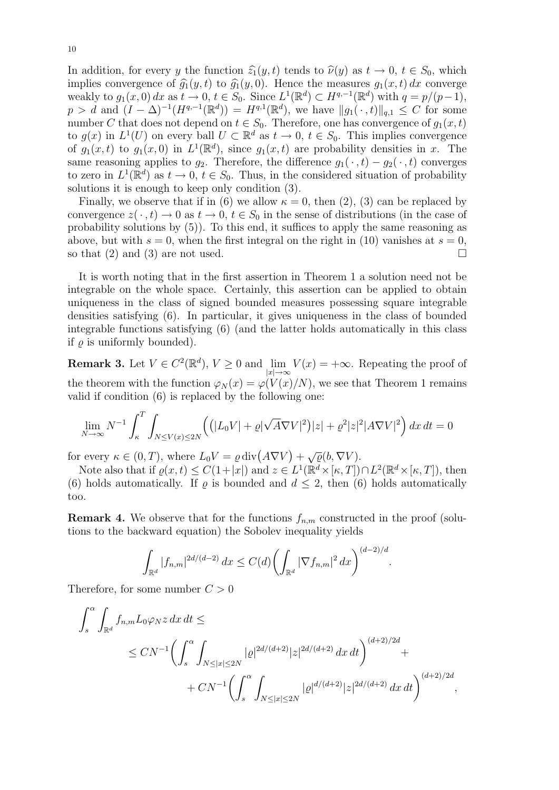In addition, for every y the function  $\hat{z}_1(y, t)$  tends to  $\hat{\nu}(y)$  as  $t \to 0, t \in S_0$ , which implies convergence of  $\hat{g}_1(y, t)$  to  $\hat{g}_1(y, 0)$ . Hence the measures  $g_1(x, t) dx$  converge weakly to  $g_1(x,0) dx$  as  $t \to 0$ ,  $t \in S_0$ . Since  $L^1(\mathbb{R}^d) \subset H^{q,-1}(\mathbb{R}^d)$  with  $q = p/(p-1)$ ,  $p > d$  and  $(I - \Delta)^{-1}(H^{q,-1}(\mathbb{R}^d)) = H^{q,1}(\mathbb{R}^d)$ , we have  $||g_1(\cdot, t)||_{q,1} \leq C$  for some number C that does not depend on  $t \in S_0$ . Therefore, one has convergence of  $g_1(x, t)$ to  $g(x)$  in  $L^1(U)$  on every ball  $U \subset \mathbb{R}^d$  as  $t \to 0$ ,  $t \in S_0$ . This implies convergence of  $g_1(x,t)$  to  $g_1(x,0)$  in  $L^1(\mathbb{R}^d)$ , since  $g_1(x,t)$  are probability densities in x. The same reasoning applies to  $g_2$ . Therefore, the difference  $g_1(\cdot, t) - g_2(\cdot, t)$  converges to zero in  $L^1(\mathbb{R}^d)$  as  $t \to 0$ ,  $t \in S_0$ . Thus, in the considered situation of probability solutions it is enough to keep only condition (3).

Finally, we observe that if in (6) we allow  $\kappa = 0$ , then (2), (3) can be replaced by convergence  $z(\cdot, t) \to 0$  as  $t \to 0$ ,  $t \in S_0$  in the sense of distributions (in the case of probability solutions by (5)). To this end, it suffices to apply the same reasoning as above, but with  $s = 0$ , when the first integral on the right in (10) vanishes at  $s = 0$ , so that (2) and (3) are not used.  $\square$ 

It is worth noting that in the first assertion in Theorem 1 a solution need not be integrable on the whole space. Certainly, this assertion can be applied to obtain uniqueness in the class of signed bounded measures possessing square integrable densities satisfying (6). In particular, it gives uniqueness in the class of bounded integrable functions satisfying (6) (and the latter holds automatically in this class if  $\rho$  is uniformly bounded).

**Remark 3.** Let  $V \in C^2(\mathbb{R}^d)$ ,  $V \ge 0$  and  $\lim_{|x| \to \infty} V(x) = +\infty$ . Repeating the proof of the theorem with the function  $\varphi_N(x) = \varphi(V(x)/N)$ , we see that Theorem 1 remains valid if condition (6) is replaced by the following one:

$$
\lim_{N \to \infty} N^{-1} \int_{\kappa}^{T} \int_{N \le V(x) \le 2N} \left( \left( |L_0 V| + \varrho |\sqrt{A} \nabla V|^2 \right) |z| + \varrho^2 |z|^2 |A \nabla V|^2 \right) dx dt = 0
$$

for every  $\kappa \in (0, T)$ , where  $L_0 V = \varrho \, \text{div}(A \nabla V) + \sqrt{\varrho} (b, \nabla V)$ .

Note also that if  $\rho(x,t) \leq C(1+|x|)$  and  $z \in L^1(\mathbb{R}^d \times [\kappa, T]) \cap L^2(\mathbb{R}^d \times [\kappa, T])$ , then (6) holds automatically. If  $\rho$  is bounded and  $d \leq 2$ , then (6) holds automatically too.

**Remark 4.** We observe that for the functions  $f_{n,m}$  constructed in the proof (solutions to the backward equation) the Sobolev inequality yields

$$
\int_{\mathbb{R}^d} |f_{n,m}|^{2d/(d-2)} dx \le C(d) \left( \int_{\mathbb{R}^d} |\nabla f_{n,m}|^2 dx \right)^{(d-2)/d}
$$

.

Therefore, for some number  $C > 0$ 

$$
\int_{s}^{\alpha} \int_{\mathbb{R}^{d}} f_{n,m} L_{0} \varphi_{N} z \, dx \, dt \le
$$
\n
$$
\le CN^{-1} \left( \int_{s}^{\alpha} \int_{N \leq |x| \leq 2N} |\varrho|^{2d/(d+2)} |z|^{2d/(d+2)} \, dx \, dt \right)^{(d+2)/2d} + CN^{-1} \left( \int_{s}^{\alpha} \int_{N \leq |x| \leq 2N} |\varrho|^{d/(d+2)} |z|^{2d/(d+2)} \, dx \, dt \right)^{(d+2)/2d},
$$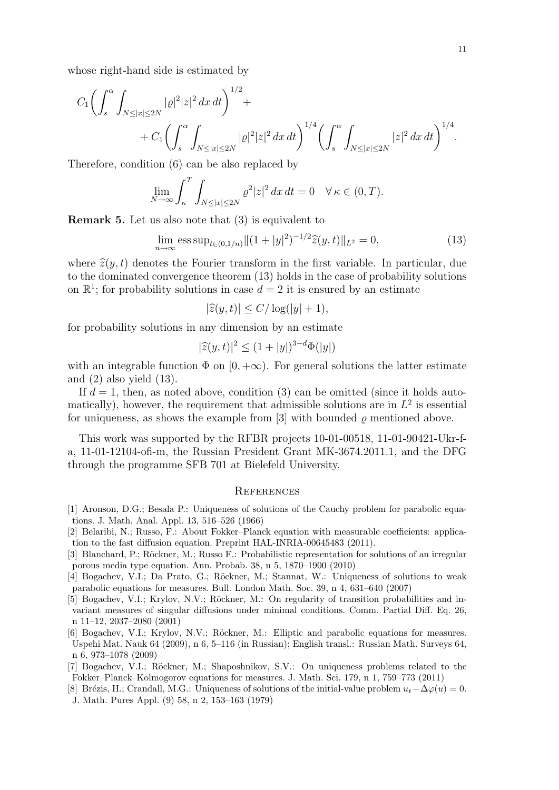whose right-hand side is estimated by

$$
C_1 \left( \int_s^{\alpha} \int_{N \leq |x| \leq 2N} |\varrho|^2 |z|^2 \, dx \, dt \right)^{1/2} + C_1 \left( \int_s^{\alpha} \int_{N \leq |x| \leq 2N} |\varrho|^2 |z|^2 \, dx \, dt \right)^{1/4} \left( \int_s^{\alpha} \int_{N \leq |x| \leq 2N} |z|^2 \, dx \, dt \right)^{1/4}.
$$

Therefore, condition (6) can be also replaced by

$$
\lim_{N \to \infty} \int_{\kappa}^{T} \int_{N \leq |x| \leq 2N} \varrho^2 |z|^2 \, dx \, dt = 0 \quad \forall \, \kappa \in (0, T).
$$

Remark 5. Let us also note that (3) is equivalent to

$$
\lim_{n \to \infty} \operatorname{ess} \operatorname{sup}_{t \in (0, 1/n)} \|(1+|y|^2)^{-1/2} \widehat{z}(y, t)\|_{L^2} = 0,\tag{13}
$$

where  $\hat{\mathcal{Z}}(y, t)$  denotes the Fourier transform in the first variable. In particular, due to the dominated convergence theorem (13) holds in the case of probability solutions on  $\mathbb{R}^1$ ; for probability solutions in case  $d=2$  it is ensured by an estimate

$$
|\widehat{z}(y,t)| \le C/\log(|y|+1),
$$

for probability solutions in any dimension by an estimate

$$
|\widehat{z}(y,t)|^2 \le (1+|y|)^{3-d} \Phi(|y|)
$$

with an integrable function  $\Phi$  on  $[0, +\infty)$ . For general solutions the latter estimate and  $(2)$  also yield  $(13)$ .

If  $d = 1$ , then, as noted above, condition (3) can be omitted (since it holds automatically), however, the requirement that admissible solutions are in  $L^2$  is essential for uniqueness, as shows the example from [3] with bounded  $\rho$  mentioned above.

This work was supported by the RFBR projects 10-01-00518, 11-01-90421-Ukr-fa, 11-01-12104-ofi-m, the Russian President Grant MK-3674.2011.1, and the DFG through the programme SFB 701 at Bielefeld University.

## **REFERENCES**

- [1] Aronson, D.G.; Besala P.: Uniqueness of solutions of the Cauchy problem for parabolic equations. J. Math. Anal. Appl. 13, 516–526 (1966)
- [2] Belaribi, N.; Russo, F.: About Fokker–Planck equation with measurable coefficients: application to the fast diffusion equation. Preprint HAL-INRIA-00645483 (2011).
- [3] Blanchard, P.; Röckner, M.; Russo F.: Probabilistic representation for solutions of an irregular porous media type equation. Ann. Probab. 38, n 5, 1870–1900 (2010)
- [4] Bogachev, V.I.; Da Prato, G.; Röckner, M.; Stannat, W.: Uniqueness of solutions to weak parabolic equations for measures. Bull. London Math. Soc. 39, n 4, 631–640 (2007)
- [5] Bogachev, V.I.; Krylov, N.V.; Röckner, M.: On regularity of transition probabilities and invariant measures of singular diffusions under minimal conditions. Comm. Partial Diff. Eq. 26, n 11–12, 2037–2080 (2001)
- [6] Bogachev, V.I.; Krylov, N.V.; Röckner, M.: Elliptic and parabolic equations for measures. Uspehi Mat. Nauk 64 (2009), n 6, 5–116 (in Russian); English transl.: Russian Math. Surveys 64, n 6, 973–1078 (2009)
- [7] Bogachev, V.I.; Röckner, M.; Shaposhnikov, S.V.: On uniqueness problems related to the Fokker–Planck–Kolmogorov equations for measures. J. Math. Sci. 179, n 1, 759–773 (2011)
- [8] Brézis, H.; Crandall, M.G.: Uniqueness of solutions of the initial-value problem  $u_t-\Delta\varphi(u)=0$ . J. Math. Pures Appl. (9) 58, n 2, 153–163 (1979)